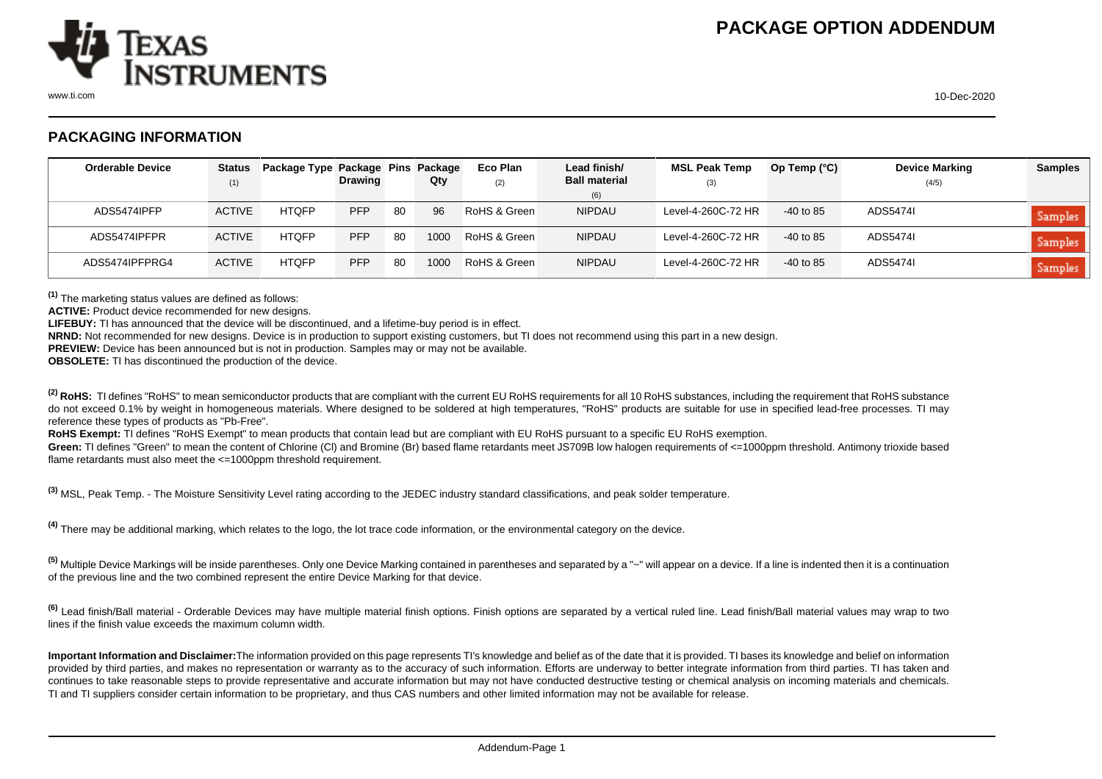

## **PACKAGING INFORMATION**

| <b>Orderable Device</b> | <b>Status</b><br>(1) | Package Type Package Pins Package | <b>Drawing</b> |    | Qty  | Eco Plan<br>(2) | Lead finish/<br><b>Ball material</b> | <b>MSL Peak Temp</b><br>(3) | Op Temp $(^{\circ}C)$ | <b>Device Marking</b><br>(4/5) | <b>Samples</b> |
|-------------------------|----------------------|-----------------------------------|----------------|----|------|-----------------|--------------------------------------|-----------------------------|-----------------------|--------------------------------|----------------|
|                         |                      |                                   |                |    |      |                 | (6)                                  |                             |                       |                                |                |
| ADS5474IPFP             | <b>ACTIVE</b>        | <b>HTOFP</b>                      | <b>PFP</b>     | 80 | 96   | RoHS & Green    | <b>NIPDAU</b>                        | Level-4-260C-72 HR          | $-40$ to 85           | ADS5474I                       | <b>Samples</b> |
| ADS5474IPFPR            | <b>ACTIVE</b>        | <b>HTOFP</b>                      | <b>PFP</b>     | 80 | 1000 | RoHS & Green    | <b>NIPDAU</b>                        | Level-4-260C-72 HR          | $-40$ to 85           | ADS5474I                       | <b>Samples</b> |
| ADS5474IPFPRG4          | <b>ACTIVE</b>        | <b>HTOFP</b>                      | <b>PFP</b>     | 80 | 1000 | RoHS & Green    | <b>NIPDAU</b>                        | Level-4-260C-72 HR          | -40 to 85             | ADS5474I                       | Samples        |

**(1)** The marketing status values are defined as follows:

**ACTIVE:** Product device recommended for new designs.

**LIFEBUY:** TI has announced that the device will be discontinued, and a lifetime-buy period is in effect.

**NRND:** Not recommended for new designs. Device is in production to support existing customers, but TI does not recommend using this part in a new design.

**PREVIEW:** Device has been announced but is not in production. Samples may or may not be available.

**OBSOLETE:** TI has discontinued the production of the device.

<sup>(2)</sup> RoHS: TI defines "RoHS" to mean semiconductor products that are compliant with the current EU RoHS requirements for all 10 RoHS substances, including the requirement that RoHS substance do not exceed 0.1% by weight in homogeneous materials. Where designed to be soldered at high temperatures, "RoHS" products are suitable for use in specified lead-free processes. TI may reference these types of products as "Pb-Free".

RoHS Exempt: TI defines "RoHS Exempt" to mean products that contain lead but are compliant with EU RoHS pursuant to a specific EU RoHS exemption.

Green: TI defines "Green" to mean the content of Chlorine (CI) and Bromine (Br) based flame retardants meet JS709B low halogen requirements of <=1000ppm threshold. Antimony trioxide based flame retardants must also meet the <=1000ppm threshold requirement.

**(3)** MSL, Peak Temp. - The Moisture Sensitivity Level rating according to the JEDEC industry standard classifications, and peak solder temperature.

**(4)** There may be additional marking, which relates to the logo, the lot trace code information, or the environmental category on the device.

**(5)** Multiple Device Markings will be inside parentheses. Only one Device Marking contained in parentheses and separated by a "~" will appear on a device. If a line is indented then it is a continuation of the previous line and the two combined represent the entire Device Marking for that device.

**(6)** Lead finish/Ball material - Orderable Devices may have multiple material finish options. Finish options are separated by a vertical ruled line. Lead finish/Ball material values may wrap to two lines if the finish value exceeds the maximum column width.

**Important Information and Disclaimer:**The information provided on this page represents TI's knowledge and belief as of the date that it is provided. TI bases its knowledge and belief on information provided by third parties, and makes no representation or warranty as to the accuracy of such information. Efforts are underway to better integrate information from third parties. TI has taken and continues to take reasonable steps to provide representative and accurate information but may not have conducted destructive testing or chemical analysis on incoming materials and chemicals. TI and TI suppliers consider certain information to be proprietary, and thus CAS numbers and other limited information may not be available for release.